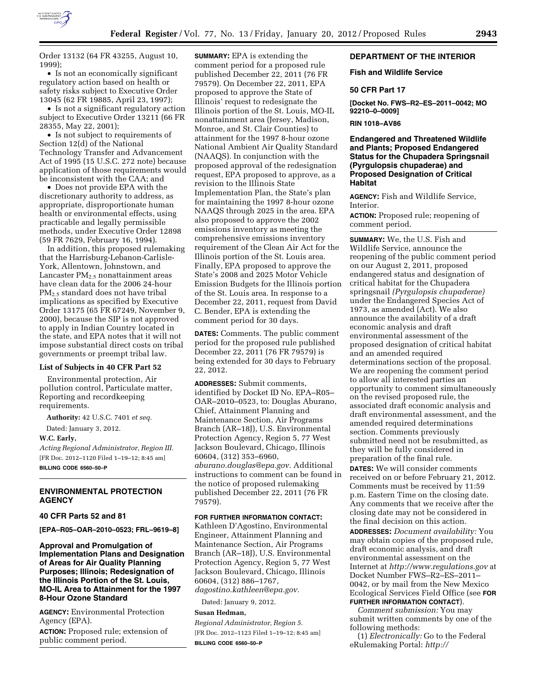

Order 13132 (64 FR 43255, August 10, 1999);

• Is not an economically significant regulatory action based on health or safety risks subject to Executive Order 13045 (62 FR 19885, April 23, 1997);

• Is not a significant regulatory action subject to Executive Order 13211 (66 FR 28355, May 22, 2001);

• Is not subject to requirements of Section 12(d) of the National Technology Transfer and Advancement Act of 1995 (15 U.S.C. 272 note) because application of those requirements would be inconsistent with the CAA; and

• Does not provide EPA with the discretionary authority to address, as appropriate, disproportionate human health or environmental effects, using practicable and legally permissible methods, under Executive Order 12898 (59 FR 7629, February 16, 1994).

In addition, this proposed rulemaking that the Harrisburg-Lebanon-Carlisle-York, Allentown, Johnstown, and Lancaster  $PM_{2.5}$  nonattainment areas have clean data for the 2006 24-hour PM2.5 standard does not have tribal implications as specified by Executive Order 13175 (65 FR 67249, November 9, 2000), because the SIP is not approved to apply in Indian Country located in the state, and EPA notes that it will not impose substantial direct costs on tribal governments or preempt tribal law.

## **List of Subjects in 40 CFR Part 52**

Environmental protection, Air pollution control, Particulate matter, Reporting and recordkeeping requirements.

**Authority:** 42 U.S.C. 7401 *et seq.* 

Dated: January 3, 2012.

### **W.C. Early,**

*Acting Regional Administrator, Region III.*  [FR Doc. 2012–1120 Filed 1–19–12; 8:45 am] **BILLING CODE 6560–50–P** 

# **ENVIRONMENTAL PROTECTION AGENCY**

## **40 CFR Parts 52 and 81**

**[EPA–R05–OAR–2010–0523; FRL–9619–8]** 

**Approval and Promulgation of Implementation Plans and Designation of Areas for Air Quality Planning Purposes; Illinois; Redesignation of the Illinois Portion of the St. Louis, MO-IL Area to Attainment for the 1997 8-Hour Ozone Standard** 

**AGENCY:** Environmental Protection Agency (EPA).

**ACTION:** Proposed rule; extension of public comment period.

**SUMMARY:** EPA is extending the comment period for a proposed rule published December 22, 2011 (76 FR 79579). On December 22, 2011, EPA proposed to approve the State of Illinois' request to redesignate the Illinois portion of the St. Louis, MO-IL nonattainment area (Jersey, Madison, Monroe, and St. Clair Counties) to attainment for the 1997 8-hour ozone National Ambient Air Quality Standard (NAAQS). In conjunction with the proposed approval of the redesignation request, EPA proposed to approve, as a revision to the Illinois State Implementation Plan, the State's plan for maintaining the 1997 8-hour ozone NAAQS through 2025 in the area. EPA also proposed to approve the 2002 emissions inventory as meeting the comprehensive emissions inventory requirement of the Clean Air Act for the Illinois portion of the St. Louis area. Finally, EPA proposed to approve the State's 2008 and 2025 Motor Vehicle Emission Budgets for the Illinois portion of the St. Louis area. In response to a December 22, 2011, request from David C. Bender, EPA is extending the comment period for 30 days.

**DATES:** Comments. The public comment period for the proposed rule published December 22, 2011 (76 FR 79579) is being extended for 30 days to February 22, 2012.

**ADDRESSES:** Submit comments, identified by Docket ID No. EPA–R05– OAR–2010–0523, to: Douglas Aburano, Chief, Attainment Planning and Maintenance Section, Air Programs Branch (AR–18J), U.S. Environmental Protection Agency, Region 5, 77 West Jackson Boulevard, Chicago, Illinois 60604, (312) 353–6960, *[aburano.douglas@epa.gov.](mailto:aburano.douglas@epa.gov)* Additional instructions to comment can be found in the notice of proposed rulemaking published December 22, 2011 (76 FR 79579).

### **FOR FURTHER INFORMATION CONTACT:**

Kathleen D'Agostino, Environmental Engineer, Attainment Planning and Maintenance Section, Air Programs Branch (AR–18J), U.S. Environmental Protection Agency, Region 5, 77 West Jackson Boulevard, Chicago, Illinois 60604, (312) 886–1767, *[dagostino.kathleen@epa.gov.](mailto:dagostino.kathleen@epa.gov)* 

Dated: January 9, 2012.

### **Susan Hedman,**

*Regional Administrator, Region 5.*  [FR Doc. 2012–1123 Filed 1–19–12; 8:45 am] **BILLING CODE 6560–50–P** 

# **DEPARTMENT OF THE INTERIOR**

## **Fish and Wildlife Service**

## **50 CFR Part 17**

**[Docket No. FWS–R2–ES–2011–0042; MO 92210–0–0009]** 

## **RIN 1018–AV86**

# **Endangered and Threatened Wildlife and Plants; Proposed Endangered Status for the Chupadera Springsnail (Pyrgulopsis chupaderae) and Proposed Designation of Critical Habitat**

**AGENCY:** Fish and Wildlife Service, Interior.

**ACTION:** Proposed rule; reopening of comment period.

**SUMMARY:** We, the U.S. Fish and Wildlife Service, announce the reopening of the public comment period on our August 2, 2011, proposed endangered status and designation of critical habitat for the Chupadera springsnail *(Pyrgulopsis chupaderae)*  under the Endangered Species Act of 1973, as amended (Act). We also announce the availability of a draft economic analysis and draft environmental assessment of the proposed designation of critical habitat and an amended required determinations section of the proposal. We are reopening the comment period to allow all interested parties an opportunity to comment simultaneously on the revised proposed rule, the associated draft economic analysis and draft environmental assessment, and the amended required determinations section. Comments previously submitted need not be resubmitted, as they will be fully considered in preparation of the final rule. **DATES:** We will consider comments received on or before February 21, 2012. Comments must be received by 11:59 p.m. Eastern Time on the closing date. Any comments that we receive after the closing date may not be considered in the final decision on this action.

**ADDRESSES:** *Document availability:* You may obtain copies of the proposed rule, draft economic analysis, and draft environmental assessment on the Internet at *<http://www.regulations.gov>* at Docket Number FWS–R2–ES–2011– 0042, or by mail from the New Mexico Ecological Services Field Office (see **FOR FURTHER INFORMATION CONTACT**).

*Comment submission:* You may submit written comments by one of the following methods:

(1) *Electronically:* Go to the Federal eRulemaking Portal: *http://*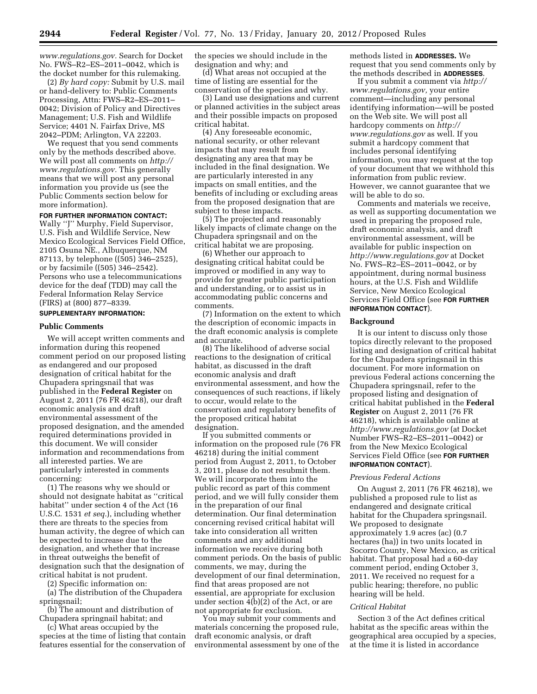*[www.regulations.gov.](http://www.regulations.gov)* Search for Docket No. FWS–R2–ES–2011–0042, which is the docket number for this rulemaking.

(2) *By hard copy:* Submit by U.S. mail or hand-delivery to: Public Comments Processing, Attn: FWS–R2–ES–2011– 0042; Division of Policy and Directives Management; U.S. Fish and Wildlife Service; 4401 N. Fairfax Drive, MS 2042–PDM; Arlington, VA 22203.

We request that you send comments only by the methods described above. We will post all comments on *[http://](http://www.regulations.gov) [www.regulations.gov.](http://www.regulations.gov)* This generally means that we will post any personal information you provide us (see the Public Comments section below for more information).

## **FOR FURTHER INFORMATION CONTACT:**

Wally ''J'' Murphy, Field Supervisor, U.S. Fish and Wildlife Service, New Mexico Ecological Services Field Office, 2105 Osuna NE., Albuquerque, NM 87113, by telephone ((505) 346–2525), or by facsimile ((505) 346–2542). Persons who use a telecommunications device for the deaf (TDD) may call the Federal Information Relay Service (FIRS) at (800) 877–8339.

# **SUPPLEMENTARY INFORMATION:**

# **Public Comments**

We will accept written comments and information during this reopened comment period on our proposed listing as endangered and our proposed designation of critical habitat for the Chupadera springsnail that was published in the **Federal Register** on August 2, 2011 (76 FR 46218), our draft economic analysis and draft environmental assessment of the proposed designation, and the amended required determinations provided in this document. We will consider information and recommendations from all interested parties. We are particularly interested in comments concerning:

(1) The reasons why we should or should not designate habitat as ''critical habitat'' under section 4 of the Act (16 U.S.C. 1531 *et seq.*), including whether there are threats to the species from human activity, the degree of which can be expected to increase due to the designation, and whether that increase in threat outweighs the benefit of designation such that the designation of critical habitat is not prudent.

(2) Specific information on:

(a) The distribution of the Chupadera springsnail;

(b) The amount and distribution of Chupadera springnail habitat; and

(c) What areas occupied by the species at the time of listing that contain features essential for the conservation of

the species we should include in the designation and why; and

(d) What areas not occupied at the time of listing are essential for the conservation of the species and why.

(3) Land use designations and current or planned activities in the subject areas and their possible impacts on proposed critical habitat.

(4) Any foreseeable economic, national security, or other relevant impacts that may result from designating any area that may be included in the final designation. We are particularly interested in any impacts on small entities, and the benefits of including or excluding areas from the proposed designation that are subject to these impacts.

(5) The projected and reasonably likely impacts of climate change on the Chupadera springsnail and on the critical habitat we are proposing.

(6) Whether our approach to designating critical habitat could be improved or modified in any way to provide for greater public participation and understanding, or to assist us in accommodating public concerns and comments.

(7) Information on the extent to which the description of economic impacts in the draft economic analysis is complete and accurate.

(8) The likelihood of adverse social reactions to the designation of critical habitat, as discussed in the draft economic analysis and draft environmental assessment, and how the consequences of such reactions, if likely to occur, would relate to the conservation and regulatory benefits of the proposed critical habitat designation.

If you submitted comments or information on the proposed rule (76 FR 46218) during the initial comment period from August 2, 2011, to October 3, 2011, please do not resubmit them. We will incorporate them into the public record as part of this comment period, and we will fully consider them in the preparation of our final determination. Our final determination concerning revised critical habitat will take into consideration all written comments and any additional information we receive during both comment periods. On the basis of public comments, we may, during the development of our final determination, find that areas proposed are not essential, are appropriate for exclusion under section  $\overline{4(b)}$ (2) of the Act, or are not appropriate for exclusion.

You may submit your comments and materials concerning the proposed rule, draft economic analysis, or draft environmental assessment by one of the methods listed in **ADDRESSES.** We request that you send comments only by the methods described in **ADDRESSES**.

If you submit a comment via *[http://](http://www.regulations.gov)  [www.regulations.gov,](http://www.regulations.gov)* your entire comment—including any personal identifying information—will be posted on the Web site. We will post all hardcopy comments on *[http://](http://www.regulations.gov)  [www.regulations.gov](http://www.regulations.gov)* as well. If you submit a hardcopy comment that includes personal identifying information, you may request at the top of your document that we withhold this information from public review. However, we cannot guarantee that we will be able to do so.

Comments and materials we receive, as well as supporting documentation we used in preparing the proposed rule, draft economic analysis, and draft environmental assessment, will be available for public inspection on *<http://www.regulations.gov>* at Docket No. FWS–R2–ES–2011–0042, or by appointment, during normal business hours, at the U.S. Fish and Wildlife Service, New Mexico Ecological Services Field Office (see **FOR FURTHER INFORMATION CONTACT**).

## **Background**

It is our intent to discuss only those topics directly relevant to the proposed listing and designation of critical habitat for the Chupadera springsnail in this document. For more information on previous Federal actions concerning the Chupadera springsnail, refer to the proposed listing and designation of critical habitat published in the **Federal Register** on August 2, 2011 (76 FR 46218), which is available online at *<http://www.regulations.gov>* (at Docket Number FWS–R2–ES–2011–0042) or from the New Mexico Ecological Services Field Office (see **FOR FURTHER INFORMATION CONTACT**).

#### *Previous Federal Actions*

On August 2, 2011 (76 FR 46218), we published a proposed rule to list as endangered and designate critical habitat for the Chupadera springsnail. We proposed to designate approximately 1.9 acres (ac) (0.7 hectares (ha)) in two units located in Socorro County, New Mexico, as critical habitat. That proposal had a 60-day comment period, ending October 3, 2011. We received no request for a public hearing; therefore, no public hearing will be held.

### *Critical Habitat*

Section 3 of the Act defines critical habitat as the specific areas within the geographical area occupied by a species, at the time it is listed in accordance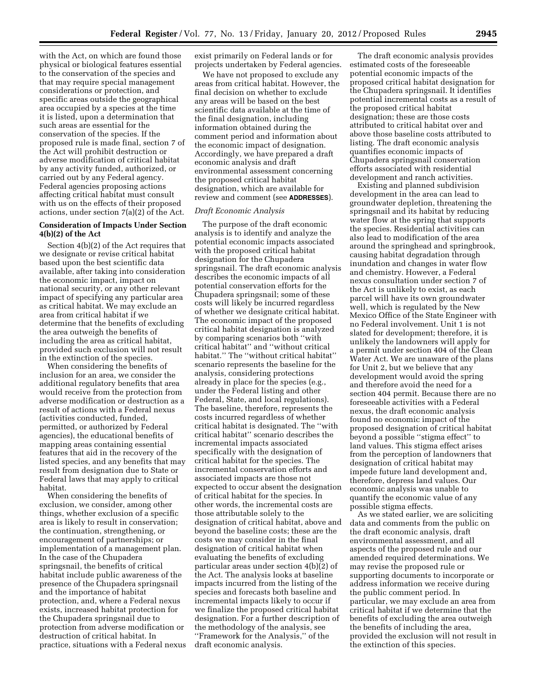with the Act, on which are found those physical or biological features essential to the conservation of the species and that may require special management considerations or protection, and specific areas outside the geographical area occupied by a species at the time it is listed, upon a determination that such areas are essential for the conservation of the species. If the proposed rule is made final, section 7 of the Act will prohibit destruction or adverse modification of critical habitat by any activity funded, authorized, or carried out by any Federal agency. Federal agencies proposing actions affecting critical habitat must consult with us on the effects of their proposed actions, under section 7(a)(2) of the Act.

# **Consideration of Impacts Under Section 4(b)(2) of the Act**

Section 4(b)(2) of the Act requires that we designate or revise critical habitat based upon the best scientific data available, after taking into consideration the economic impact, impact on national security, or any other relevant impact of specifying any particular area as critical habitat. We may exclude an area from critical habitat if we determine that the benefits of excluding the area outweigh the benefits of including the area as critical habitat, provided such exclusion will not result in the extinction of the species.

When considering the benefits of inclusion for an area, we consider the additional regulatory benefits that area would receive from the protection from adverse modification or destruction as a result of actions with a Federal nexus (activities conducted, funded, permitted, or authorized by Federal agencies), the educational benefits of mapping areas containing essential features that aid in the recovery of the listed species, and any benefits that may result from designation due to State or Federal laws that may apply to critical habitat.

When considering the benefits of exclusion, we consider, among other things, whether exclusion of a specific area is likely to result in conservation; the continuation, strengthening, or encouragement of partnerships; or implementation of a management plan. In the case of the Chupadera springsnail, the benefits of critical habitat include public awareness of the presence of the Chupadera springsnail and the importance of habitat protection, and, where a Federal nexus exists, increased habitat protection for the Chupadera springsnail due to protection from adverse modification or destruction of critical habitat. In practice, situations with a Federal nexus exist primarily on Federal lands or for projects undertaken by Federal agencies.

We have not proposed to exclude any areas from critical habitat. However, the final decision on whether to exclude any areas will be based on the best scientific data available at the time of the final designation, including information obtained during the comment period and information about the economic impact of designation. Accordingly, we have prepared a draft economic analysis and draft environmental assessment concerning the proposed critical habitat designation, which are available for review and comment (see **ADDRESSES**).

# *Draft Economic Analysis*

The purpose of the draft economic analysis is to identify and analyze the potential economic impacts associated with the proposed critical habitat designation for the Chupadera springsnail. The draft economic analysis describes the economic impacts of all potential conservation efforts for the Chupadera springsnail; some of these costs will likely be incurred regardless of whether we designate critical habitat. The economic impact of the proposed critical habitat designation is analyzed by comparing scenarios both ''with critical habitat'' and ''without critical habitat.'' The ''without critical habitat'' scenario represents the baseline for the analysis, considering protections already in place for the species (e.g., under the Federal listing and other Federal, State, and local regulations). The baseline, therefore, represents the costs incurred regardless of whether critical habitat is designated. The ''with critical habitat'' scenario describes the incremental impacts associated specifically with the designation of critical habitat for the species. The incremental conservation efforts and associated impacts are those not expected to occur absent the designation of critical habitat for the species. In other words, the incremental costs are those attributable solely to the designation of critical habitat, above and beyond the baseline costs; these are the costs we may consider in the final designation of critical habitat when evaluating the benefits of excluding particular areas under section 4(b)(2) of the Act. The analysis looks at baseline impacts incurred from the listing of the species and forecasts both baseline and incremental impacts likely to occur if we finalize the proposed critical habitat designation. For a further description of the methodology of the analysis, see ''Framework for the Analysis,'' of the draft economic analysis.

The draft economic analysis provides estimated costs of the foreseeable potential economic impacts of the proposed critical habitat designation for the Chupadera springsnail. It identifies potential incremental costs as a result of the proposed critical habitat designation; these are those costs attributed to critical habitat over and above those baseline costs attributed to listing. The draft economic analysis quantifies economic impacts of Chupadera springsnail conservation efforts associated with residential development and ranch activities.

Existing and planned subdivision development in the area can lead to groundwater depletion, threatening the springsnail and its habitat by reducing water flow at the spring that supports the species. Residential activities can also lead to modification of the area around the springhead and springbrook, causing habitat degradation through inundation and changes in water flow and chemistry. However, a Federal nexus consultation under section 7 of the Act is unlikely to exist, as each parcel will have its own groundwater well, which is regulated by the New Mexico Office of the State Engineer with no Federal involvement. Unit 1 is not slated for development; therefore, it is unlikely the landowners will apply for a permit under section 404 of the Clean Water Act. We are unaware of the plans for Unit 2, but we believe that any development would avoid the spring and therefore avoid the need for a section 404 permit. Because there are no foreseeable activities with a Federal nexus, the draft economic analysis found no economic impact of the proposed designation of critical habitat beyond a possible ''stigma effect'' to land values. This stigma effect arises from the perception of landowners that designation of critical habitat may impede future land development and, therefore, depress land values. Our economic analysis was unable to quantify the economic value of any possible stigma effects.

As we stated earlier, we are soliciting data and comments from the public on the draft economic analysis, draft environmental assessment, and all aspects of the proposed rule and our amended required determinations. We may revise the proposed rule or supporting documents to incorporate or address information we receive during the public comment period. In particular, we may exclude an area from critical habitat if we determine that the benefits of excluding the area outweigh the benefits of including the area, provided the exclusion will not result in the extinction of this species.